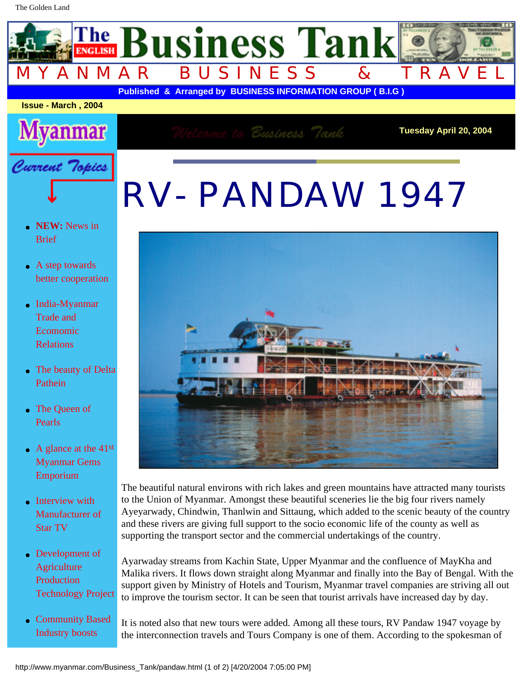## RV- PANDAW 1947



The beautiful natural environs with rich lakes and green mountains have attracted many tourists to the Union of Myanmar. Amongst these beautiful sceneries lie the big four rivers namely Ayeyarwady, Chindwin, Thanlwin and Sittaung, which added to the scenic beauty of the country and these rivers are giving full support to the socio economic life of the county as well as supporting the transport sector and the commercial undertakings of the country.

Ayarwaday streams from Kachin State, Upper Myanmar and the confluence of MayKha and Malika rivers. It flows down straight along Myanmar and finally into the Bay of Bengal. With the support given by Ministry of Hotels and Tourism, Myanmar travel companies are striving all out to improve the tourism sector. It can be seen that tourist arrivals have increased day by day.

It is noted also that new tours were added. Among all these tours, RV Pandaw 1947 voyage by the interconnection travels and Tours Company is one of them. According to the spokesman of